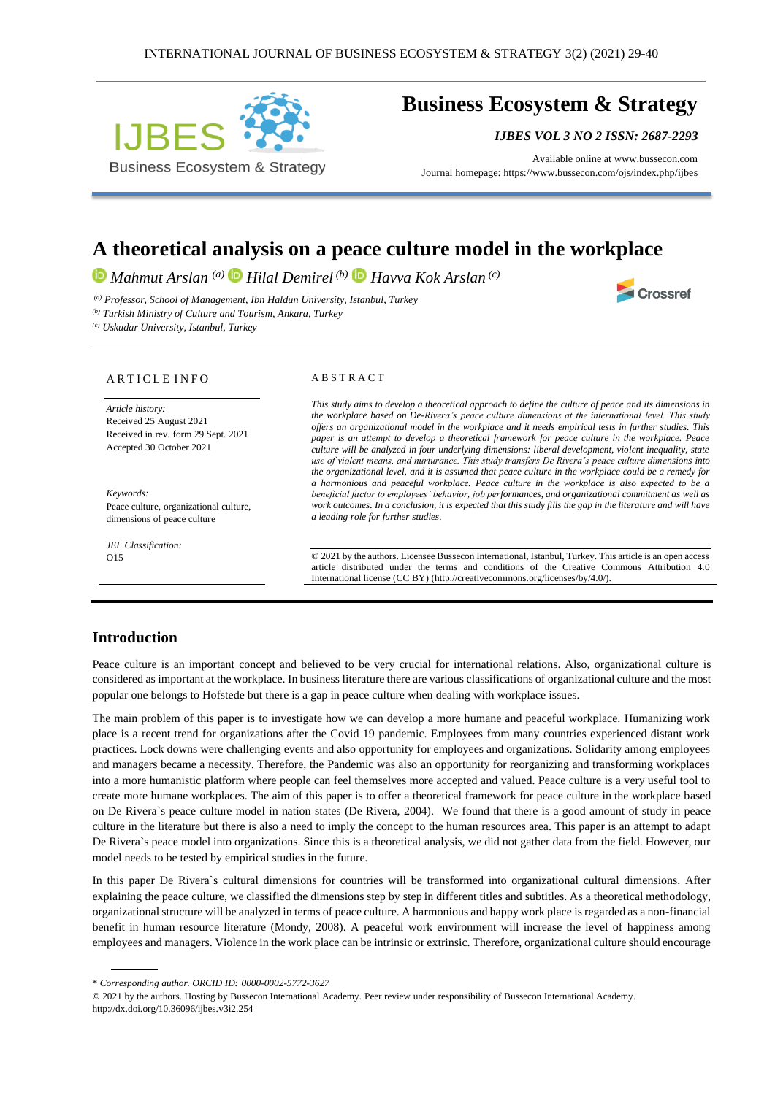

# **Business Ecosystem & Strategy**

*IJBES VOL 3 NO 2 ISSN: 2687-2293*

Crossref

Available online a[t www.bussecon.com](http://www.bussecon.com/) Journal homepage: https://www.bussecon.com/ojs/index.php/ijbes

# **A theoretical analysis on a peace culture model in the workplace**

*Mahmut Arslan (a) Hilal Demirel (b) Havva Kok Arslan (c)*

*(a) Professor, School of Management, Ibn Haldun University, Istanbul, Turkey* 

*(b) Turkish Ministry of Culture and Tourism, Ankara, Turkey*

*(c) Uskudar University, Istanbul, Turkey*

#### ARTICLE INFO

*Article history:*  Received 25 August 2021 Received in rev. form 29 Sept. 2021 Accepted 30 October 2021

*Keywords:* Peace culture, organizational culture, dimensions of peace culture

*JEL Classification:* O15

#### A B S T R A C T

*This study aims to develop a theoretical approach to define the culture of peace and its dimensions in the workplace based on De-Rivera's peace culture dimensions at the international level. This study offers an organizational model in the workplace and it needs empirical tests in further studies. This paper is an attempt to develop a theoretical framework for peace culture in the workplace. Peace culture will be analyzed in four underlying dimensions: liberal development, violent inequality, state use of violent means, and nurturance. This study transfers De Rivera's peace culture dimensions into the organizational level, and it is assumed that peace culture in the workplace could be a remedy for a harmonious and peaceful workplace. Peace culture in the workplace is also expected to be a beneficial factor to employees' behavior, job performances, and organizational commitment as well as work outcomes. In a conclusion, it is expected that this study fills the gap in the literature and will have a leading role for further studies.*

© 2021 by the authors. Licensee Bussecon International, Istanbul, Turkey. This article is an open access article distributed under the terms and conditions of the Creative Commons Attribution 4.0 International license (CC BY) (http://creativecommons.org/licenses/by/4.0/).

### **Introduction**

Peace culture is an important concept and believed to be very crucial for international relations. Also, organizational culture is considered as important at the workplace. In business literature there are various classifications of organizational culture and the most popular one belongs to Hofstede but there is a gap in peace culture when dealing with workplace issues.

The main problem of this paper is to investigate how we can develop a more humane and peaceful workplace. Humanizing work place is a recent trend for organizations after the Covid 19 pandemic. Employees from many countries experienced distant work practices. Lock downs were challenging events and also opportunity for employees and organizations. Solidarity among employees and managers became a necessity. Therefore, the Pandemic was also an opportunity for reorganizing and transforming workplaces into a more humanistic platform where people can feel themselves more accepted and valued. Peace culture is a very useful tool to create more humane workplaces. The aim of this paper is to offer a theoretical framework for peace culture in the workplace based on De Rivera`s peace culture model in nation states (De Rivera, 2004). We found that there is a good amount of study in peace culture in the literature but there is also a need to imply the concept to the human resources area. This paper is an attempt to adapt De Rivera`s peace model into organizations. Since this is a theoretical analysis, we did not gather data from the field. However, our model needs to be tested by empirical studies in the future.

In this paper De Rivera`s cultural dimensions for countries will be transformed into organizational cultural dimensions. After explaining the peace culture, we classified the dimensions step by step in different titles and subtitles. As a theoretical methodology, organizational structure will be analyzed in terms of peace culture. A harmonious and happy work place is regarded as a non-financial benefit in human resource literature (Mondy, 2008). A peaceful work environment will increase the level of happiness among employees and managers. Violence in the work place can be intrinsic or extrinsic. Therefore, organizational culture should encourage

<sup>\*</sup> *Corresponding author. ORCID ID: 0000-0002-5772-3627*

<sup>© 2021</sup> by the authors. Hosting by Bussecon International Academy. Peer review under responsibility of Bussecon International Academy. http://dx.doi.org/10.36096/ijbes.v3i2.254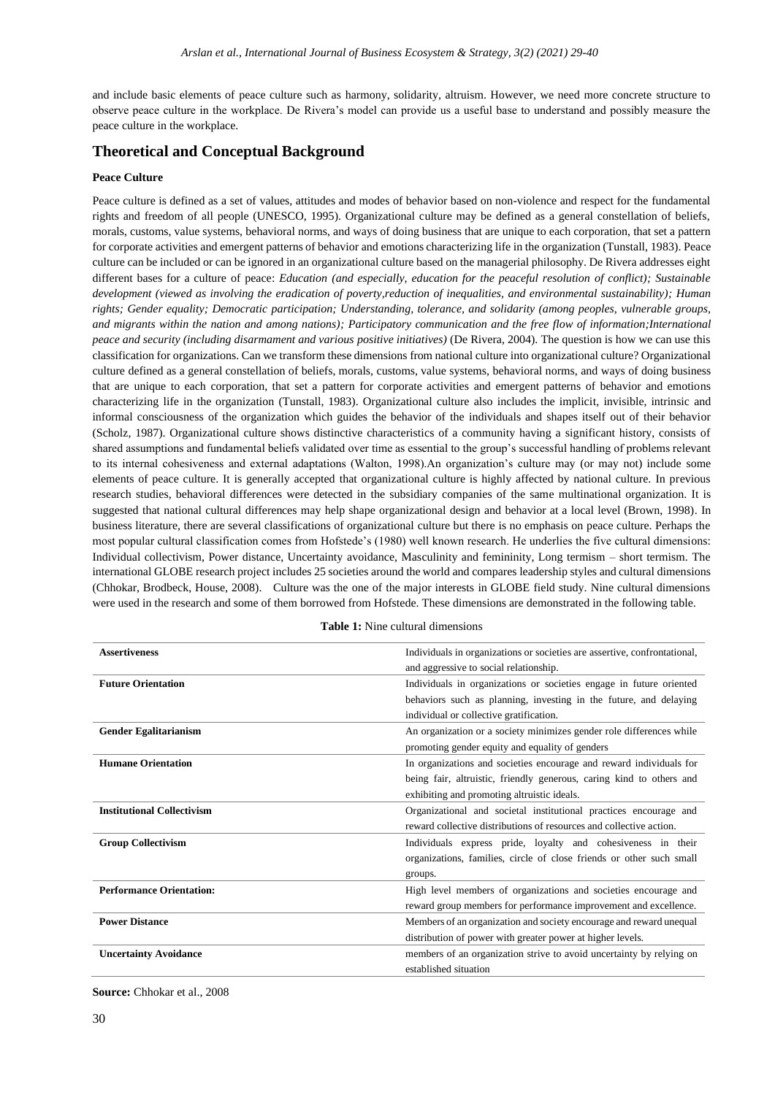and include basic elements of peace culture such as harmony, solidarity, altruism. However, we need more concrete structure to observe peace culture in the workplace. De Rivera's model can provide us a useful base to understand and possibly measure the peace culture in the workplace.

# **Theoretical and Conceptual Background**

#### **Peace Culture**

Peace culture is defined as a set of values, attitudes and modes of behavior based on non-violence and respect for the fundamental rights and freedom of all people (UNESCO, 1995). Organizational culture may be defined as a general constellation of beliefs, morals, customs, value systems, behavioral norms, and ways of doing business that are unique to each corporation, that set a pattern for corporate activities and emergent patterns of behavior and emotions characterizing life in the organization (Tunstall, 1983). Peace culture can be included or can be ignored in an organizational culture based on the managerial philosophy. De Rivera addresses eight different bases for a culture of peace: *Education (and especially, education for the peaceful resolution of conflict); Sustainable development (viewed as involving the eradication of poverty,reduction of inequalities, and environmental sustainability); Human rights; Gender equality; Democratic participation; Understanding, tolerance, and solidarity (among peoples, vulnerable groups, and migrants within the nation and among nations); Participatory communication and the free flow of information;International peace and security (including disarmament and various positive initiatives)* (De Rivera, 2004). The question is how we can use this classification for organizations. Can we transform these dimensions from national culture into organizational culture? Organizational culture defined as a general constellation of beliefs, morals, customs, value systems, behavioral norms, and ways of doing business that are unique to each corporation, that set a pattern for corporate activities and emergent patterns of behavior and emotions characterizing life in the organization (Tunstall, 1983). Organizational culture also includes the implicit, invisible, intrinsic and informal consciousness of the organization which guides the behavior of the individuals and shapes itself out of their behavior (Scholz, 1987). Organizational culture shows distinctive characteristics of a community having a significant history, consists of shared assumptions and fundamental beliefs validated over time as essential to the group's successful handling of problems relevant to its internal cohesiveness and external adaptations (Walton, 1998).An organization's culture may (or may not) include some elements of peace culture. It is generally accepted that organizational culture is highly affected by national culture. In previous research studies, behavioral differences were detected in the subsidiary companies of the same multinational organization. It is suggested that national cultural differences may help shape organizational design and behavior at a local level (Brown, 1998). In business literature, there are several classifications of organizational culture but there is no emphasis on peace culture. Perhaps the most popular cultural classification comes from Hofstede's (1980) well known research. He underlies the five cultural dimensions: Individual collectivism, Power distance, Uncertainty avoidance, Masculinity and femininity, Long termism – short termism. The international GLOBE research project includes 25 societies around the world and compares leadership styles and cultural dimensions (Chhokar, Brodbeck, House, 2008). Culture was the one of the major interests in GLOBE field study. Nine cultural dimensions were used in the research and some of them borrowed from Hofstede. These dimensions are demonstrated in the following table.

| <b>Assertiveness</b>              | Individuals in organizations or societies are assertive, confrontational, |
|-----------------------------------|---------------------------------------------------------------------------|
|                                   | and aggressive to social relationship.                                    |
| <b>Future Orientation</b>         | Individuals in organizations or societies engage in future oriented       |
|                                   | behaviors such as planning, investing in the future, and delaying         |
|                                   | individual or collective gratification.                                   |
| <b>Gender Egalitarianism</b>      | An organization or a society minimizes gender role differences while      |
|                                   | promoting gender equity and equality of genders                           |
| <b>Humane Orientation</b>         | In organizations and societies encourage and reward individuals for       |
|                                   | being fair, altruistic, friendly generous, caring kind to others and      |
|                                   | exhibiting and promoting altruistic ideals.                               |
| <b>Institutional Collectivism</b> | Organizational and societal institutional practices encourage and         |
|                                   | reward collective distributions of resources and collective action.       |
| <b>Group Collectivism</b>         | Individuals express pride, loyalty and cohesiveness in their              |
|                                   | organizations, families, circle of close friends or other such small      |
|                                   | groups.                                                                   |
| <b>Performance Orientation:</b>   | High level members of organizations and societies encourage and           |
|                                   | reward group members for performance improvement and excellence.          |
| <b>Power Distance</b>             | Members of an organization and society encourage and reward unequal       |
|                                   | distribution of power with greater power at higher levels.                |
| <b>Uncertainty Avoidance</b>      | members of an organization strive to avoid uncertainty by relying on      |
|                                   | established situation                                                     |

#### **Table 1:** Nine cultural dimensions

**Source:** Chhokar et al., 2008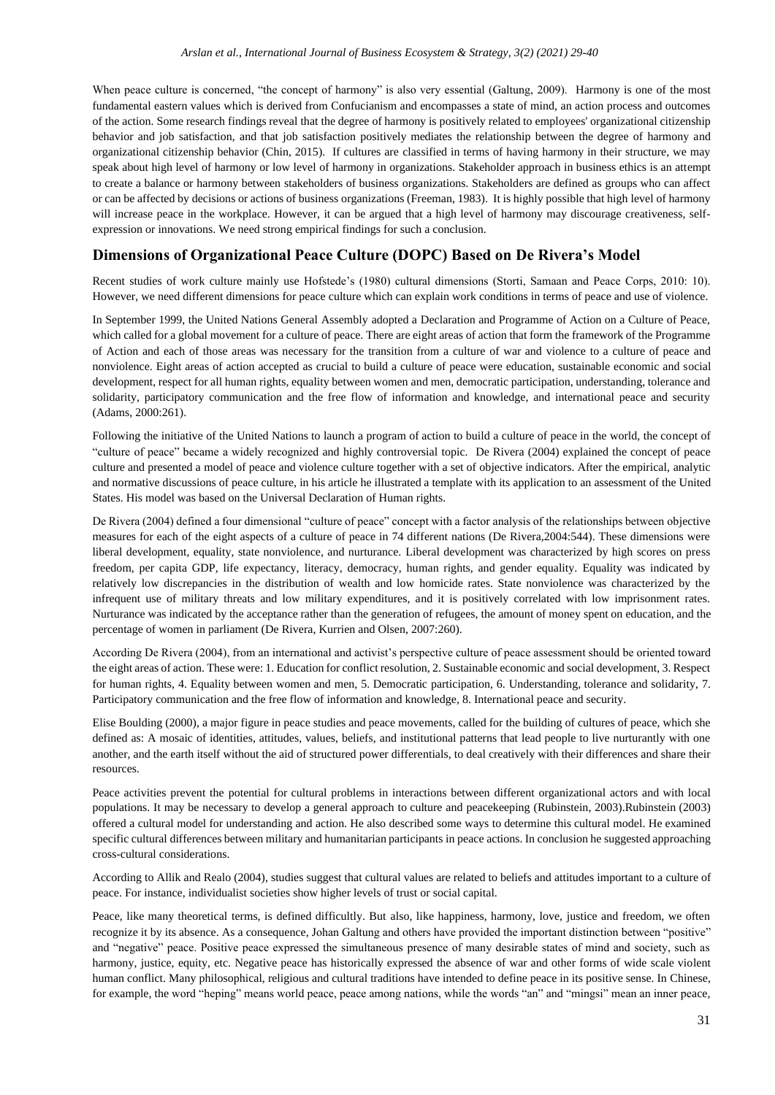When peace culture is concerned, "the concept of harmony" is also very essential (Galtung, 2009). Harmony is one of the most fundamental eastern values which is derived from Confucianism and encompasses a state of mind, an action process and outcomes of the action. Some research findings reveal that the degree of harmony is positively related to employees' organizational citizenship behavior and job satisfaction, and that job satisfaction positively mediates the relationship between the degree of harmony and organizational citizenship behavior (Chin, 2015). If cultures are classified in terms of having harmony in their structure, we may speak about high level of harmony or low level of harmony in organizations. Stakeholder approach in business ethics is an attempt to create a balance or harmony between stakeholders of business organizations. Stakeholders are defined as groups who can affect or can be affected by decisions or actions of business organizations (Freeman, 1983). It is highly possible that high level of harmony will increase peace in the workplace. However, it can be argued that a high level of harmony may discourage creativeness, selfexpression or innovations. We need strong empirical findings for such a conclusion.

# **Dimensions of Organizational Peace Culture (DOPC) Based on De Rivera's Model**

Recent studies of work culture mainly use Hofstede's (1980) cultural dimensions (Storti, Samaan and Peace Corps, 2010: 10). However, we need different dimensions for peace culture which can explain work conditions in terms of peace and use of violence.

In September 1999, the United Nations General Assembly adopted a Declaration and Programme of Action on a Culture of Peace, which called for a global movement for a culture of peace. There are eight areas of action that form the framework of the Programme of Action and each of those areas was necessary for the transition from a culture of war and violence to a culture of peace and nonviolence. Eight areas of action accepted as crucial to build a culture of peace were education, sustainable economic and social development, respect for all human rights, equality between women and men, democratic participation, understanding, tolerance and solidarity, participatory communication and the free flow of information and knowledge, and international peace and security (Adams, 2000:261).

Following the initiative of the United Nations to launch a program of action to build a culture of peace in the world, the concept of "culture of peace" became a widely recognized and highly controversial topic. De Rivera (2004) explained the concept of peace culture and presented a model of peace and violence culture together with a set of objective indicators. After the empirical, analytic and normative discussions of peace culture, in his article he illustrated a template with its application to an assessment of the United States. His model was based on the Universal Declaration of Human rights.

De Rivera (2004) defined a four dimensional "culture of peace" concept with a factor analysis of the relationships between objective measures for each of the eight aspects of a culture of peace in 74 different nations (De Rivera,2004:544). These dimensions were liberal development, equality, state nonviolence, and nurturance. Liberal development was characterized by high scores on press freedom, per capita GDP, life expectancy, literacy, democracy, human rights, and gender equality. Equality was indicated by relatively low discrepancies in the distribution of wealth and low homicide rates. State nonviolence was characterized by the infrequent use of military threats and low military expenditures, and it is positively correlated with low imprisonment rates. Nurturance was indicated by the acceptance rather than the generation of refugees, the amount of money spent on education, and the percentage of women in parliament (De Rivera, Kurrien and Olsen, 2007:260).

According De Rivera (2004), from an international and activist's perspective culture of peace assessment should be oriented toward the eight areas of action. These were: 1. Education for conflict resolution, 2. Sustainable economic and social development, 3. Respect for human rights, 4. Equality between women and men, 5. Democratic participation, 6. Understanding, tolerance and solidarity, 7. Participatory communication and the free flow of information and knowledge, 8. International peace and security.

Elise Boulding (2000), a major figure in peace studies and peace movements, called for the building of cultures of peace, which she defined as: A mosaic of identities, attitudes, values, beliefs, and institutional patterns that lead people to live nurturantly with one another, and the earth itself without the aid of structured power differentials, to deal creatively with their differences and share their resources.

Peace activities prevent the potential for cultural problems in interactions between different organizational actors and with local populations. It may be necessary to develop a general approach to culture and peacekeeping (Rubinstein, 2003).Rubinstein (2003) offered a cultural model for understanding and action. He also described some ways to determine this cultural model. He examined specific cultural differences between military and humanitarian participants in peace actions. In conclusion he suggested approaching cross-cultural considerations.

According to Allik and Realo (2004), studies suggest that cultural values are related to beliefs and attitudes important to a culture of peace. For instance, individualist societies show higher levels of trust or social capital.

Peace, like many theoretical terms, is defined difficultly. But also, like happiness, harmony, love, justice and freedom, we often recognize it by its absence. As a consequence, Johan Galtung and others have provided the important distinction between "positive" and "negative" peace. Positive peace expressed the simultaneous presence of many desirable states of mind and society, such as harmony, justice, equity, etc. Negative peace has historically expressed the absence of war and other forms of wide scale violent human conflict. Many philosophical, religious and cultural traditions have intended to define peace in its positive sense. In Chinese, for example, the word "heping" means world peace, peace among nations, while the words "an" and "mingsi" mean an inner peace,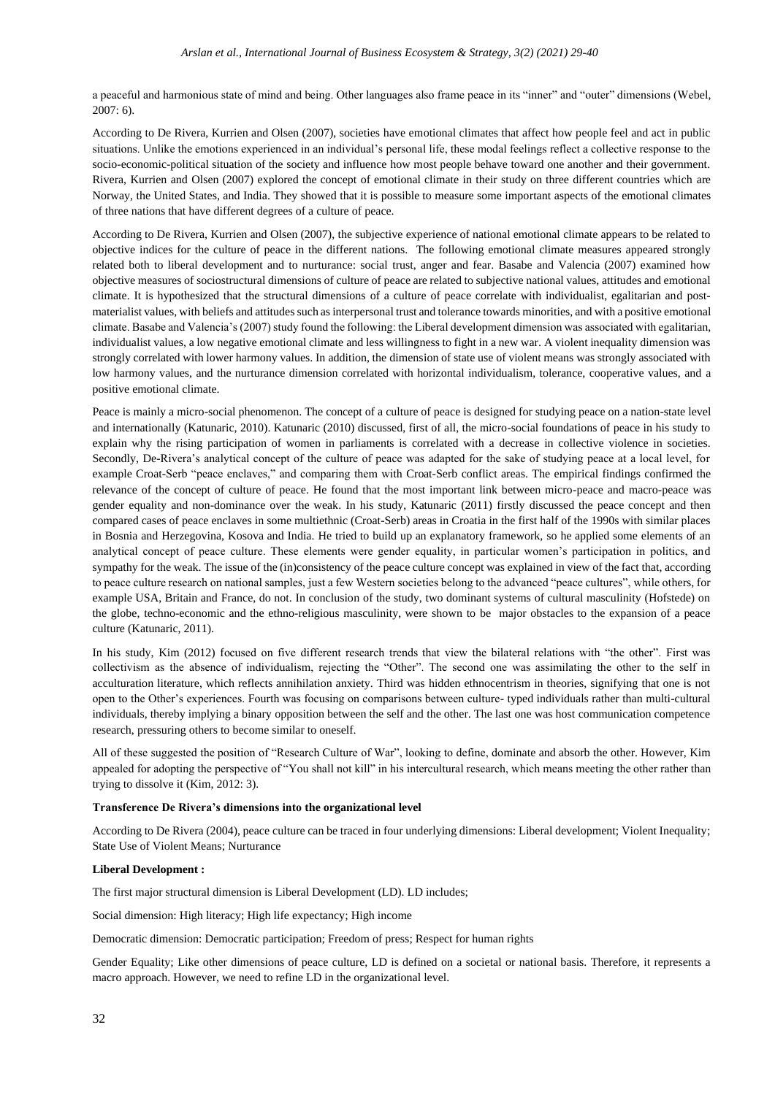a peaceful and harmonious state of mind and being. Other languages also frame peace in its "inner" and "outer" dimensions (Webel, 2007: 6).

According to De Rivera, Kurrien and Olsen (2007), societies have emotional climates that affect how people feel and act in public situations. Unlike the emotions experienced in an individual's personal life, these modal feelings reflect a collective response to the socio-economic-political situation of the society and influence how most people behave toward one another and their government. Rivera, Kurrien and Olsen (2007) explored the concept of emotional climate in their study on three different countries which are Norway, the United States, and India. They showed that it is possible to measure some important aspects of the emotional climates of three nations that have different degrees of a culture of peace.

According to De Rivera, Kurrien and Olsen (2007), the subjective experience of national emotional climate appears to be related to objective indices for the culture of peace in the different nations. The following emotional climate measures appeared strongly related both to liberal development and to nurturance: social trust, anger and fear. Basabe and Valencia (2007) examined how objective measures of sociostructural dimensions of culture of peace are related to subjective national values, attitudes and emotional climate. It is hypothesized that the structural dimensions of a culture of peace correlate with individualist, egalitarian and postmaterialist values, with beliefs and attitudes such as interpersonal trust and tolerance towards minorities, and with a positive emotional climate. Basabe and Valencia's (2007) study found the following: the Liberal development dimension was associated with egalitarian, individualist values, a low negative emotional climate and less willingness to fight in a new war. A violent inequality dimension was strongly correlated with lower harmony values. In addition, the dimension of state use of violent means was strongly associated with low harmony values, and the nurturance dimension correlated with horizontal individualism, tolerance, cooperative values, and a positive emotional climate.

Peace is mainly a micro-social phenomenon. The concept of a culture of peace is designed for studying peace on a nation-state level and internationally (Katunaric, 2010). Katunaric (2010) discussed, first of all, the micro-social foundations of peace in his study to explain why the rising participation of women in parliaments is correlated with a decrease in collective violence in societies. Secondly, De-Rivera's analytical concept of the culture of peace was adapted for the sake of studying peace at a local level, for example Croat-Serb "peace enclaves," and comparing them with Croat-Serb conflict areas. The empirical findings confirmed the relevance of the concept of culture of peace. He found that the most important link between micro-peace and macro-peace was gender equality and non-dominance over the weak. In his study, Katunaric (2011) firstly discussed the peace concept and then compared cases of peace enclaves in some multiethnic (Croat-Serb) areas in Croatia in the first half of the 1990s with similar places in Bosnia and Herzegovina, Kosova and India. He tried to build up an explanatory framework, so he applied some elements of an analytical concept of peace culture. These elements were gender equality, in particular women's participation in politics, and sympathy for the weak. The issue of the (in)consistency of the peace culture concept was explained in view of the fact that, according to peace culture research on national samples, just a few Western societies belong to the advanced "peace cultures", while others, for example USA, Britain and France, do not. In conclusion of the study, two dominant systems of cultural masculinity (Hofstede) on the globe, techno-economic and the ethno-religious masculinity, were shown to be major obstacles to the expansion of a peace culture (Katunaric, 2011).

In his study, Kim (2012) focused on five different research trends that view the bilateral relations with "the other". First was collectivism as the absence of individualism, rejecting the "Other". The second one was assimilating the other to the self in acculturation literature, which reflects annihilation anxiety. Third was hidden ethnocentrism in theories, signifying that one is not open to the Other's experiences. Fourth was focusing on comparisons between culture- typed individuals rather than multi-cultural individuals, thereby implying a binary opposition between the self and the other. The last one was host communication competence research, pressuring others to become similar to oneself.

All of these suggested the position of "Research Culture of War", looking to define, dominate and absorb the other. However, Kim appealed for adopting the perspective of "You shall not kill" in his intercultural research, which means meeting the other rather than trying to dissolve it (Kim, 2012: 3).

#### **Transference De Rivera's dimensions into the organizational level**

According to De Rivera (2004), peace culture can be traced in four underlying dimensions: Liberal development; Violent Inequality; State Use of Violent Means; Nurturance

#### **Liberal Development :**

The first major structural dimension is Liberal Development (LD). LD includes;

Social dimension: High literacy; High life expectancy; High income

Democratic dimension: Democratic participation; Freedom of press; Respect for human rights

Gender Equality; Like other dimensions of peace culture, LD is defined on a societal or national basis. Therefore, it represents a macro approach. However, we need to refine LD in the organizational level.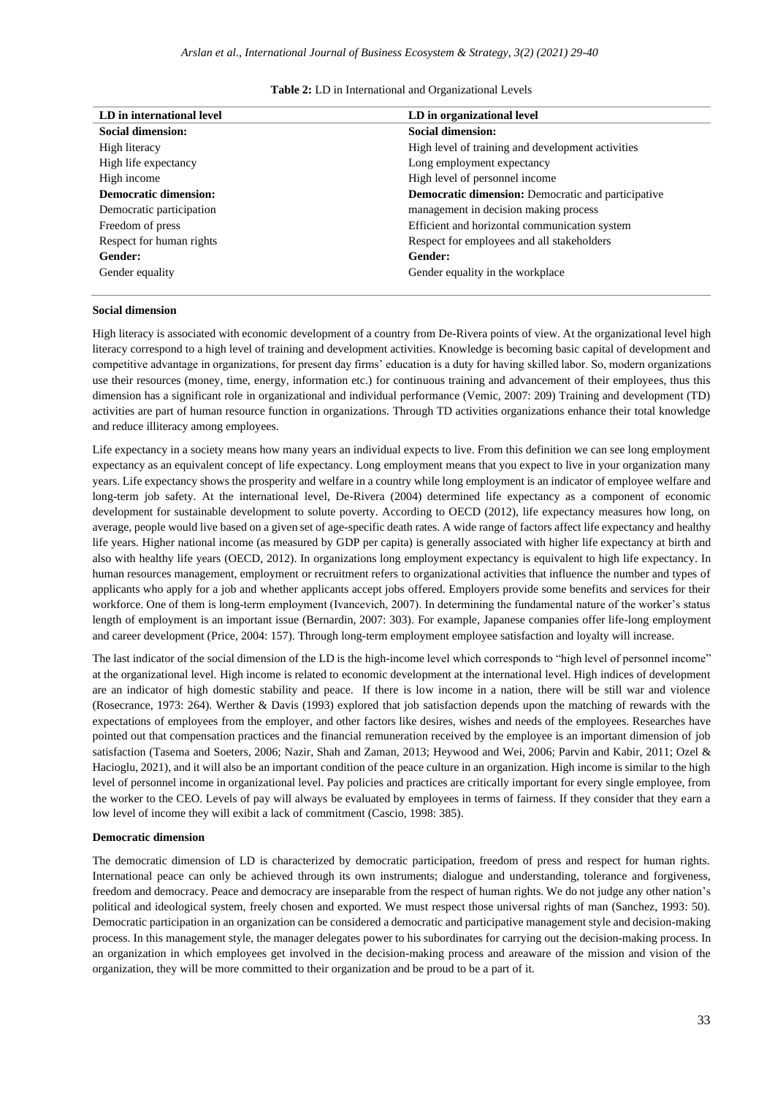| LD in international level    | LD in organizational level                                |
|------------------------------|-----------------------------------------------------------|
| <b>Social dimension:</b>     | <b>Social dimension:</b>                                  |
| High literacy                | High level of training and development activities         |
| High life expectancy         | Long employment expectancy                                |
| High income                  | High level of personnel income                            |
| <b>Democratic dimension:</b> | <b>Democratic dimension:</b> Democratic and participative |
| Democratic participation     | management in decision making process                     |
| Freedom of press             | Efficient and horizontal communication system             |
| Respect for human rights     | Respect for employees and all stakeholders                |
| Gender:                      | Gender:                                                   |
| Gender equality              | Gender equality in the workplace                          |

| <b>Table 2:</b> LD in International and Organizational Levels |  |  |
|---------------------------------------------------------------|--|--|
|---------------------------------------------------------------|--|--|

#### **Social dimension**

High literacy is associated with economic development of a country from De-Rivera points of view. At the organizational level high literacy correspond to a high level of training and development activities. Knowledge is becoming basic capital of development and competitive advantage in organizations, for present day firms' education is a duty for having skilled labor. So, modern organizations use their resources (money, time, energy, information etc.) for continuous training and advancement of their employees, thus this dimension has a significant role in organizational and individual performance (Vemic, 2007: 209) Training and development (TD) activities are part of human resource function in organizations. Through TD activities organizations enhance their total knowledge and reduce illiteracy among employees.

Life expectancy in a society means how many years an individual expects to live. From this definition we can see long employment expectancy as an equivalent concept of life expectancy. Long employment means that you expect to live in your organization many years. Life expectancy shows the prosperity and welfare in a country while long employment is an indicator of employee welfare and long-term job safety. At the international level, De-Rivera (2004) determined life expectancy as a component of economic development for sustainable development to solute poverty. According to OECD (2012), life expectancy measures how long, on average, people would live based on a given set of age-specific death rates. A wide range of factors affect life expectancy and healthy life years. Higher national income (as measured by GDP per capita) is generally associated with higher life expectancy at birth and also with healthy life years (OECD, 2012). In organizations long employment expectancy is equivalent to high life expectancy. In human resources management, employment or recruitment refers to organizational activities that influence the number and types of applicants who apply for a job and whether applicants accept jobs offered. Employers provide some benefits and services for their workforce. One of them is long-term employment (Ivancevich, 2007). In determining the fundamental nature of the worker's status length of employment is an important issue (Bernardin, 2007: 303). For example, Japanese companies offer life-long employment and career development (Price, 2004: 157). Through long-term employment employee satisfaction and loyalty will increase.

The last indicator of the social dimension of the LD is the high-income level which corresponds to "high level of personnel income" at the organizational level. High income is related to economic development at the international level. High indices of development are an indicator of high domestic stability and peace. If there is low income in a nation, there will be still war and violence (Rosecrance, 1973: 264). Werther & Davis (1993) explored that job satisfaction depends upon the matching of rewards with the expectations of employees from the employer, and other factors like desires, wishes and needs of the employees. Researches have pointed out that compensation practices and the financial remuneration received by the employee is an important dimension of job satisfaction (Tasema and Soeters, 2006; Nazir, Shah and Zaman, 2013; Heywood and Wei, 2006; Parvin and Kabir, 2011; Ozel & Hacioglu, 2021), and it will also be an important condition of the peace culture in an organization. High income is similar to the high level of personnel income in organizational level. Pay policies and practices are critically important for every single employee, from the worker to the CEO. Levels of pay will always be evaluated by employees in terms of fairness. If they consider that they earn a low level of income they will exibit a lack of commitment (Cascio, 1998: 385).

#### **Democratic dimension**

The democratic dimension of LD is characterized by democratic participation, freedom of press and respect for human rights. International peace can only be achieved through its own instruments; dialogue and understanding, tolerance and forgiveness, freedom and democracy. Peace and democracy are inseparable from the respect of human rights. We do not judge any other nation's political and ideological system, freely chosen and exported. We must respect those universal rights of man (Sanchez, 1993: 50). Democratic participation in an organization can be considered a democratic and participative management style and decision-making process. In this management style, the manager delegates power to his subordinates for carrying out the decision-making process. In an organization in which employees get involved in the decision-making process and areaware of the mission and vision of the organization, they will be more committed to their organization and be proud to be a part of it.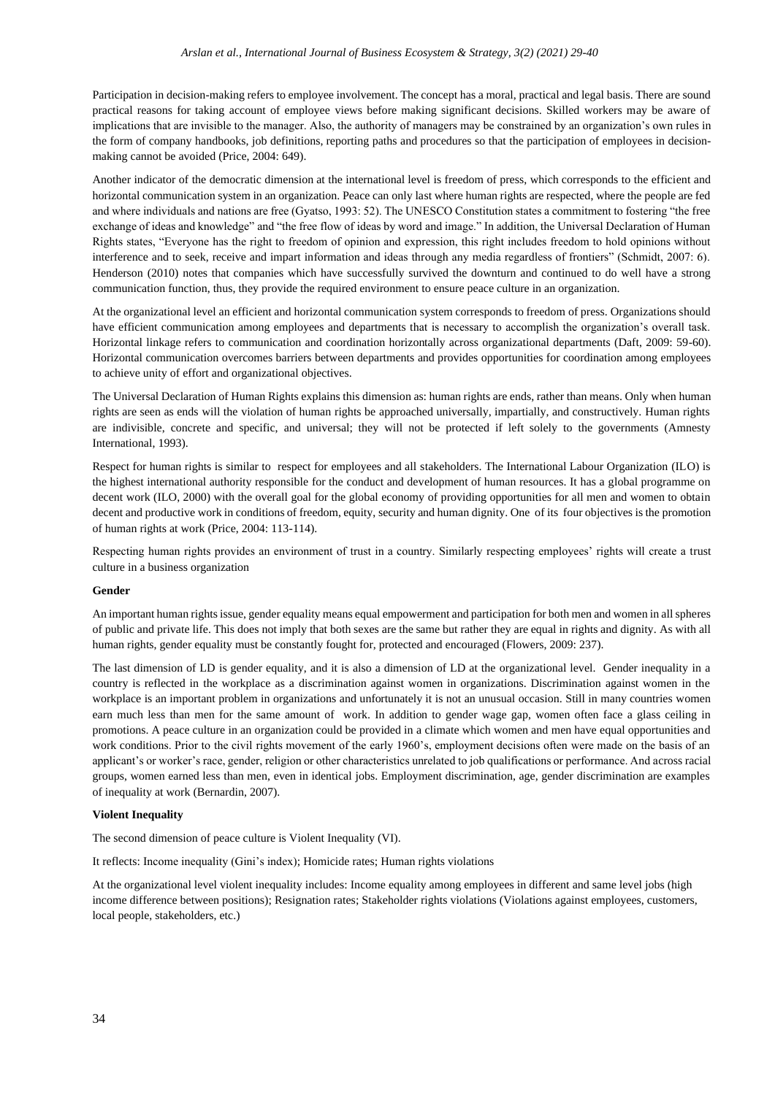Participation in decision-making refers to employee involvement. The concept has a moral, practical and legal basis. There are sound practical reasons for taking account of employee views before making significant decisions. Skilled workers may be aware of implications that are invisible to the manager. Also, the authority of managers may be constrained by an organization's own rules in the form of company handbooks, job definitions, reporting paths and procedures so that the participation of employees in decisionmaking cannot be avoided (Price, 2004: 649).

Another indicator of the democratic dimension at the international level is freedom of press, which corresponds to the efficient and horizontal communication system in an organization. Peace can only last where human rights are respected, where the people are fed and where individuals and nations are free (Gyatso, 1993: 52). The UNESCO Constitution states a commitment to fostering "the free exchange of ideas and knowledge" and "the free flow of ideas by word and image." In addition, the Universal Declaration of Human Rights states, "Everyone has the right to freedom of opinion and expression, this right includes freedom to hold opinions without interference and to seek, receive and impart information and ideas through any media regardless of frontiers" (Schmidt, 2007: 6). Henderson (2010) notes that companies which have successfully survived the downturn and continued to do well have a strong communication function, thus, they provide the required environment to ensure peace culture in an organization.

At the organizational level an efficient and horizontal communication system corresponds to freedom of press. Organizations should have efficient communication among employees and departments that is necessary to accomplish the organization's overall task. Horizontal linkage refers to communication and coordination horizontally across organizational departments (Daft, 2009: 59-60). Horizontal communication overcomes barriers between departments and provides opportunities for coordination among employees to achieve unity of effort and organizational objectives.

The Universal Declaration of Human Rights explains this dimension as: human rights are ends, rather than means. Only when human rights are seen as ends will the violation of human rights be approached universally, impartially, and constructively. Human rights are indivisible, concrete and specific, and universal; they will not be protected if left solely to the governments (Amnesty International, 1993).

Respect for human rights is similar to respect for employees and all stakeholders. The International Labour Organization (ILO) is the highest international authority responsible for the conduct and development of human resources. It has a global programme on decent work (ILO, 2000) with the overall goal for the global economy of providing opportunities for all men and women to obtain decent and productive work in conditions of freedom, equity, security and human dignity. One of its four objectives is the promotion of human rights at work (Price, 2004: 113-114).

Respecting human rights provides an environment of trust in a country. Similarly respecting employees' rights will create a trust culture in a business organization

#### **Gender**

An important human rights issue, gender equality means equal empowerment and participation for both men and women in all spheres of public and private life. This does not imply that both sexes are the same but rather they are equal in rights and dignity. As with all human rights, gender equality must be constantly fought for, protected and encouraged (Flowers, 2009: 237).

The last dimension of LD is gender equality, and it is also a dimension of LD at the organizational level. Gender inequality in a country is reflected in the workplace as a discrimination against women in organizations. Discrimination against women in the workplace is an important problem in organizations and unfortunately it is not an unusual occasion. Still in many countries women earn much less than men for the same amount of work. In addition to gender wage gap, women often face a glass ceiling in promotions. A peace culture in an organization could be provided in a climate which women and men have equal opportunities and work conditions. Prior to the civil rights movement of the early 1960's, employment decisions often were made on the basis of an applicant's or worker's race, gender, religion or other characteristics unrelated to job qualifications or performance. And across racial groups, women earned less than men, even in identical jobs. Employment discrimination, age, gender discrimination are examples of inequality at work (Bernardin, 2007).

#### **Violent Inequality**

The second dimension of peace culture is Violent Inequality (VI).

It reflects: Income inequality (Gini's index); Homicide rates; Human rights violations

At the organizational level violent inequality includes: Income equality among employees in different and same level jobs (high income difference between positions); Resignation rates; Stakeholder rights violations (Violations against employees, customers, local people, stakeholders, etc.)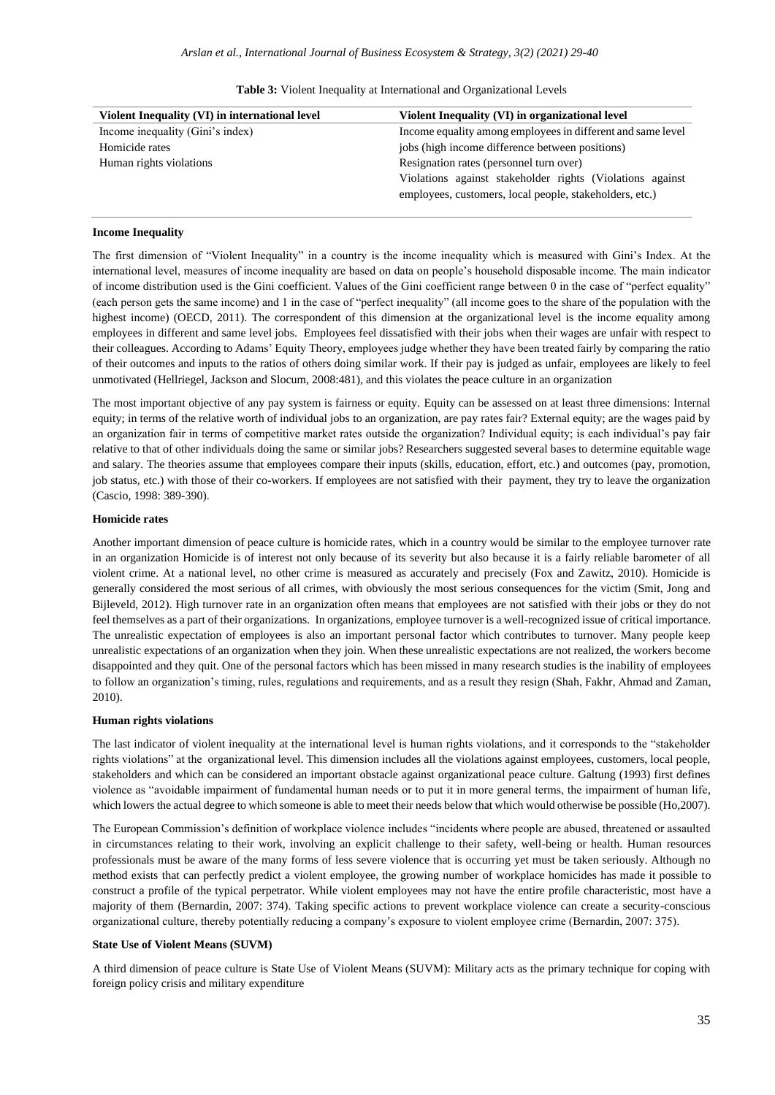| Violent Inequality (VI) in international level | Violent Inequality (VI) in organizational level                                                                       |
|------------------------------------------------|-----------------------------------------------------------------------------------------------------------------------|
| Income inequality (Gini's index)               | Income equality among employees in different and same level                                                           |
| Homicide rates                                 | jobs (high income difference between positions)                                                                       |
| Human rights violations                        | Resignation rates (personnel turn over)                                                                               |
|                                                | Violations against stakeholder rights (Violations against)<br>employees, customers, local people, stakeholders, etc.) |

| <b>Table 3:</b> Violent Inequality at International and Organizational Levels |
|-------------------------------------------------------------------------------|
|-------------------------------------------------------------------------------|

#### **Income Inequality**

The first dimension of "Violent Inequality" in a country is the income inequality which is measured with Gini's Index. At the international level, measures of income inequality are based on data on people's household disposable income. The main indicator of income distribution used is the Gini coefficient. Values of the Gini coefficient range between 0 in the case of "perfect equality" (each person gets the same income) and 1 in the case of "perfect inequality" (all income goes to the share of the population with the highest income) (OECD, 2011). The correspondent of this dimension at the organizational level is the income equality among employees in different and same level jobs. Employees feel dissatisfied with their jobs when their wages are unfair with respect to their colleagues. According to Adams' Equity Theory, employees judge whether they have been treated fairly by comparing the ratio of their outcomes and inputs to the ratios of others doing similar work. If their pay is judged as unfair, employees are likely to feel unmotivated (Hellriegel, Jackson and Slocum, 2008:481), and this violates the peace culture in an organization

The most important objective of any pay system is fairness or equity. Equity can be assessed on at least three dimensions: Internal equity; in terms of the relative worth of individual jobs to an organization, are pay rates fair? External equity; are the wages paid by an organization fair in terms of competitive market rates outside the organization? Individual equity; is each individual's pay fair relative to that of other individuals doing the same or similar jobs? Researchers suggested several bases to determine equitable wage and salary. The theories assume that employees compare their inputs (skills, education, effort, etc.) and outcomes (pay, promotion, job status, etc.) with those of their co-workers. If employees are not satisfied with their payment, they try to leave the organization (Cascio, 1998: 389-390).

#### **Homicide rates**

Another important dimension of peace culture is homicide rates, which in a country would be similar to the employee turnover rate in an organization Homicide is of interest not only because of its severity but also because it is a fairly reliable barometer of all violent crime. At a national level, no other crime is measured as accurately and precisely (Fox and Zawitz, 2010). Homicide is generally considered the most serious of all crimes, with obviously the most serious consequences for the victim (Smit, Jong and Bijleveld, 2012). High turnover rate in an organization often means that employees are not satisfied with their jobs or they do not feel themselves as a part of their organizations. In organizations, employee turnover is a well-recognized issue of critical importance. The unrealistic expectation of employees is also an important personal factor which contributes to turnover. Many people keep unrealistic expectations of an organization when they join. When these unrealistic expectations are not realized, the workers become disappointed and they quit. One of the personal factors which has been missed in many research studies is the inability of employees to follow an organization's timing, rules, regulations and requirements, and as a result they resign (Shah, Fakhr, Ahmad and Zaman, 2010).

#### **Human rights violations**

The last indicator of violent inequality at the international level is human rights violations, and it corresponds to the "stakeholder rights violations" at the organizational level. This dimension includes all the violations against employees, customers, local people, stakeholders and which can be considered an important obstacle against organizational peace culture. Galtung (1993) first defines violence as "avoidable impairment of fundamental human needs or to put it in more general terms, the impairment of human life, which lowers the actual degree to which someone is able to meet their needs below that which would otherwise be possible (Ho,2007).

The European Commission's definition of workplace violence includes "incidents where people are abused, threatened or assaulted in circumstances relating to their work, involving an explicit challenge to their safety, well-being or health. Human resources professionals must be aware of the many forms of less severe violence that is occurring yet must be taken seriously. Although no method exists that can perfectly predict a violent employee, the growing number of workplace homicides has made it possible to construct a profile of the typical perpetrator. While violent employees may not have the entire profile characteristic, most have a majority of them (Bernardin, 2007: 374). Taking specific actions to prevent workplace violence can create a security-conscious organizational culture, thereby potentially reducing a company's exposure to violent employee crime (Bernardin, 2007: 375).

#### **State Use of Violent Means (SUVM)**

A third dimension of peace culture is State Use of Violent Means (SUVM): Military acts as the primary technique for coping with foreign policy crisis and military expenditure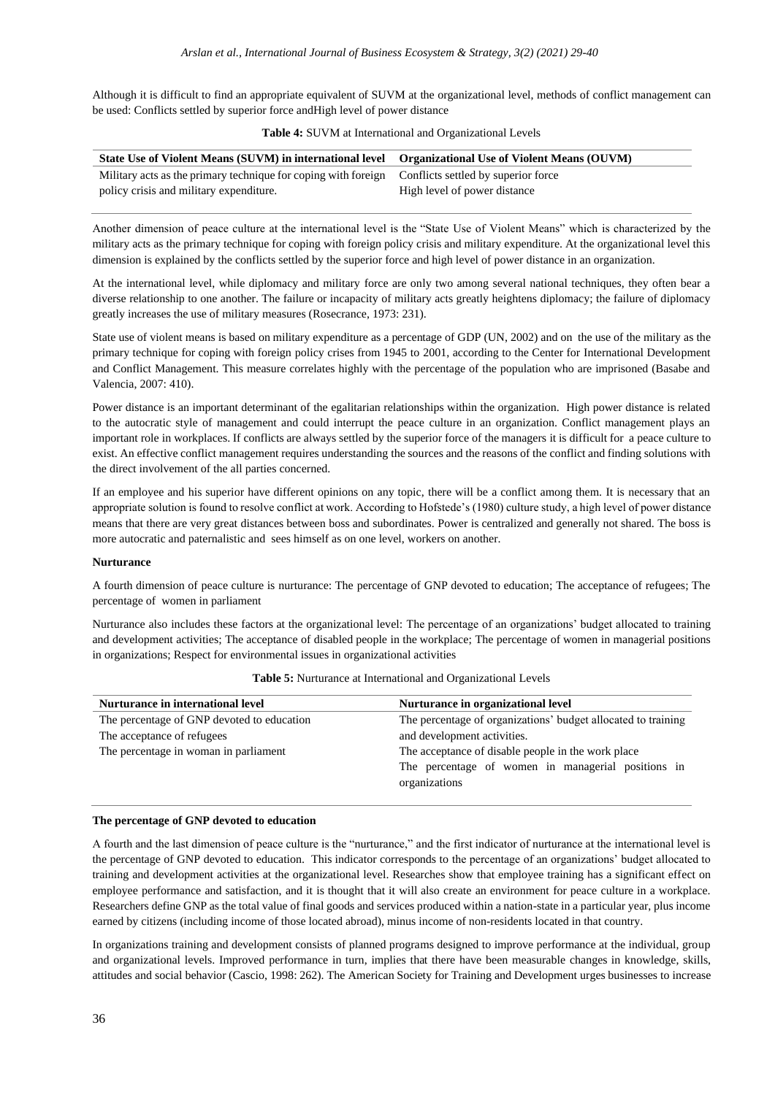Although it is difficult to find an appropriate equivalent of SUVM at the organizational level, methods of conflict management can be used: Conflicts settled by superior force andHigh level of power distance

| State Use of Violent Means (SUVM) in international level Organizational Use of Violent Means (OUVM) |                              |
|-----------------------------------------------------------------------------------------------------|------------------------------|
| Military acts as the primary technique for coping with foreign Conflicts settled by superior force  |                              |
| policy crisis and military expenditure.                                                             | High level of power distance |

#### **Table 4:** SUVM at International and Organizational Levels

Another dimension of peace culture at the international level is the "State Use of Violent Means" which is characterized by the military acts as the primary technique for coping with foreign policy crisis and military expenditure. At the organizational level this dimension is explained by the conflicts settled by the superior force and high level of power distance in an organization.

At the international level, while diplomacy and military force are only two among several national techniques, they often bear a diverse relationship to one another. The failure or incapacity of military acts greatly heightens diplomacy; the failure of diplomacy greatly increases the use of military measures (Rosecrance, 1973: 231).

State use of violent means is based on military expenditure as a percentage of GDP (UN, 2002) and on the use of the military as the primary technique for coping with foreign policy crises from 1945 to 2001, according to the Center for International Development and Conflict Management. This measure correlates highly with the percentage of the population who are imprisoned (Basabe and Valencia, 2007: 410).

Power distance is an important determinant of the egalitarian relationships within the organization. High power distance is related to the autocratic style of management and could interrupt the peace culture in an organization. Conflict management plays an important role in workplaces. If conflicts are always settled by the superior force of the managers it is difficult for a peace culture to exist. An effective conflict management requires understanding the sources and the reasons of the conflict and finding solutions with the direct involvement of the all parties concerned.

If an employee and his superior have different opinions on any topic, there will be a conflict among them. It is necessary that an appropriate solution is found to resolve conflict at work. According to Hofstede's (1980) culture study, a high level of power distance means that there are very great distances between boss and subordinates. Power is centralized and generally not shared. The boss is more autocratic and paternalistic and sees himself as on one level, workers on another.

#### **Nurturance**

A fourth dimension of peace culture is nurturance: The percentage of GNP devoted to education; The acceptance of refugees; The percentage of women in parliament

Nurturance also includes these factors at the organizational level: The percentage of an organizations' budget allocated to training and development activities; The acceptance of disabled people in the workplace; The percentage of women in managerial positions in organizations; Respect for environmental issues in organizational activities

| Nurturance in international level          | Nurturance in organizational level                                  |
|--------------------------------------------|---------------------------------------------------------------------|
| The percentage of GNP devoted to education | The percentage of organizations' budget allocated to training       |
| The acceptance of refugees                 | and development activities.                                         |
| The percentage in woman in parliament      | The acceptance of disable people in the work place                  |
|                                            | The percentage of women in managerial positions in<br>organizations |

**Table 5:** Nurturance at International and Organizational Levels

#### **The percentage of GNP devoted to education**

A fourth and the last dimension of peace culture is the "nurturance," and the first indicator of nurturance at the international level is the percentage of GNP devoted to education. This indicator corresponds to the percentage of an organizations' budget allocated to training and development activities at the organizational level. Researches show that employee training has a significant effect on employee performance and satisfaction, and it is thought that it will also create an environment for peace culture in a workplace. Researchers define GNP as the total value of final goods and services produced within a nation-state in a particular year, plus income earned by citizens (including income of those located abroad), minus income of non-residents located in that country.

In organizations training and development consists of planned programs designed to improve performance at the individual, group and organizational levels. Improved performance in turn, implies that there have been measurable changes in knowledge, skills, attitudes and social behavior (Cascio, 1998: 262). The American Society for Training and Development urges businesses to increase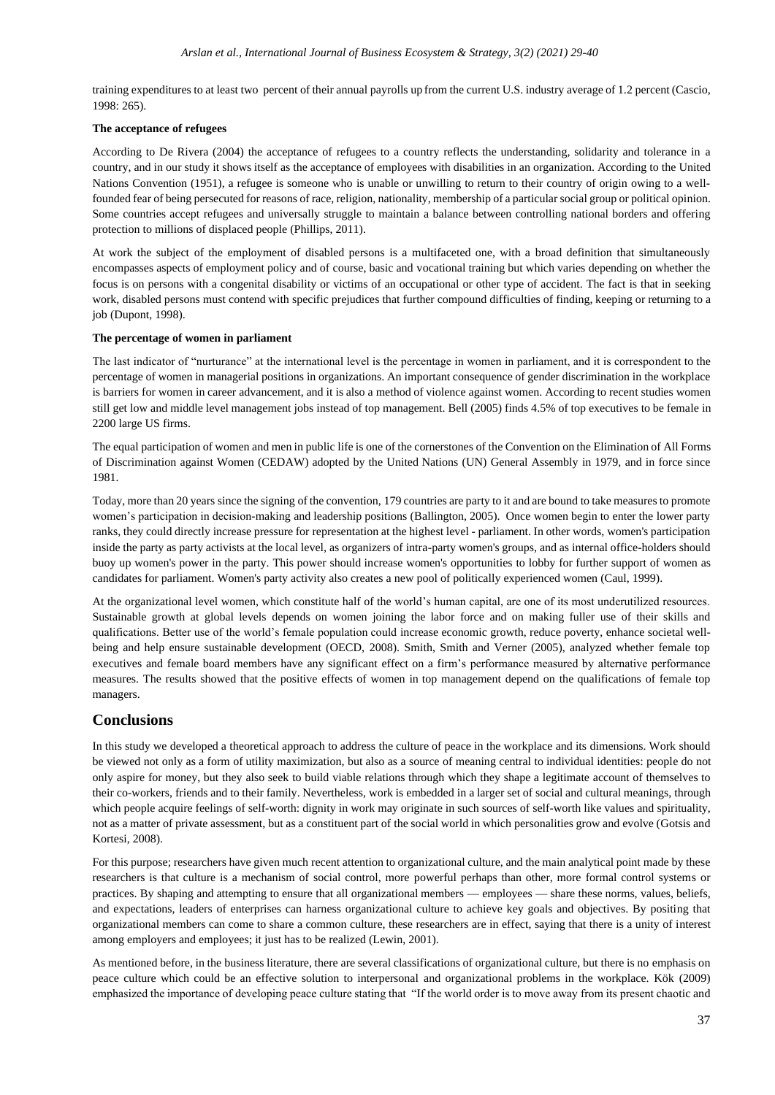training expenditures to at least two percent of their annual payrolls up from the current U.S. industry average of 1.2 percent (Cascio, 1998: 265).

#### **The acceptance of refugees**

According to De Rivera (2004) the acceptance of refugees to a country reflects the understanding, solidarity and tolerance in a country, and in our study it shows itself as the acceptance of employees with disabilities in an organization. According to the United Nations Convention (1951), a refugee is someone who is unable or unwilling to return to their country of origin owing to a wellfounded fear of being persecuted for reasons of race, religion, nationality, membership of a particular social group or political opinion. Some countries accept refugees and universally struggle to maintain a balance between controlling national borders and offering protection to millions of displaced people (Phillips, 2011).

At work the subject of the employment of disabled persons is a multifaceted one, with a broad definition that simultaneously encompasses aspects of employment policy and of course, basic and vocational training but which varies depending on whether the focus is on persons with a congenital disability or victims of an occupational or other type of accident. The fact is that in seeking work, disabled persons must contend with specific prejudices that further compound difficulties of finding, keeping or returning to a job (Dupont, 1998).

### **The percentage of women in parliament**

The last indicator of "nurturance" at the international level is the percentage in women in parliament, and it is correspondent to the percentage of women in managerial positions in organizations. An important consequence of gender discrimination in the workplace is barriers for women in career advancement, and it is also a method of violence against women. According to recent studies women still get low and middle level management jobs instead of top management. Bell (2005) finds 4.5% of top executives to be female in 2200 large US firms.

The equal participation of women and men in public life is one of the cornerstones of the Convention on the Elimination of All Forms of Discrimination against Women (CEDAW) adopted by the United Nations (UN) General Assembly in 1979, and in force since 1981.

Today, more than 20 years since the signing of the convention, 179 countries are party to it and are bound to take measures to promote women's participation in decision-making and leadership positions (Ballington, 2005). Once women begin to enter the lower party ranks, they could directly increase pressure for representation at the highest level - parliament. In other words, women's participation inside the party as party activists at the local level, as organizers of intra-party women's groups, and as internal office-holders should buoy up women's power in the party. This power should increase women's opportunities to lobby for further support of women as candidates for parliament. Women's party activity also creates a new pool of politically experienced women (Caul, 1999).

At the organizational level women, which constitute half of the world's human capital, are one of its most underutilized resources. Sustainable growth at global levels depends on women joining the labor force and on making fuller use of their skills and qualifications. Better use of the world's female population could increase economic growth, reduce poverty, enhance societal wellbeing and help ensure sustainable development (OECD, 2008). Smith, Smith and Verner (2005), analyzed whether female top executives and female board members have any significant effect on a firm's performance measured by alternative performance measures. The results showed that the positive effects of women in top management depend on the qualifications of female top managers.

# **Conclusions**

In this study we developed a theoretical approach to address the culture of peace in the workplace and its dimensions. Work should be viewed not only as a form of utility maximization, but also as a source of meaning central to individual identities: people do not only aspire for money, but they also seek to build viable relations through which they shape a legitimate account of themselves to their co-workers, friends and to their family. Nevertheless, work is embedded in a larger set of social and cultural meanings, through which people acquire feelings of self-worth: dignity in work may originate in such sources of self-worth like values and spirituality, not as a matter of private assessment, but as a constituent part of the social world in which personalities grow and evolve (Gotsis and Kortesi, 2008).

For this purpose; researchers have given much recent attention to organizational culture, and the main analytical point made by these researchers is that culture is a mechanism of social control, more powerful perhaps than other, more formal control systems or practices. By shaping and attempting to ensure that all organizational members — employees — share these norms, values, beliefs, and expectations, leaders of enterprises can harness organizational culture to achieve key goals and objectives. By positing that organizational members can come to share a common culture, these researchers are in effect, saying that there is a unity of interest among employers and employees; it just has to be realized (Lewin, 2001).

As mentioned before, in the business literature, there are several classifications of organizational culture, but there is no emphasis on peace culture which could be an effective solution to interpersonal and organizational problems in the workplace. Kök (2009) emphasized the importance of developing peace culture stating that "If the world order is to move away from its present chaotic and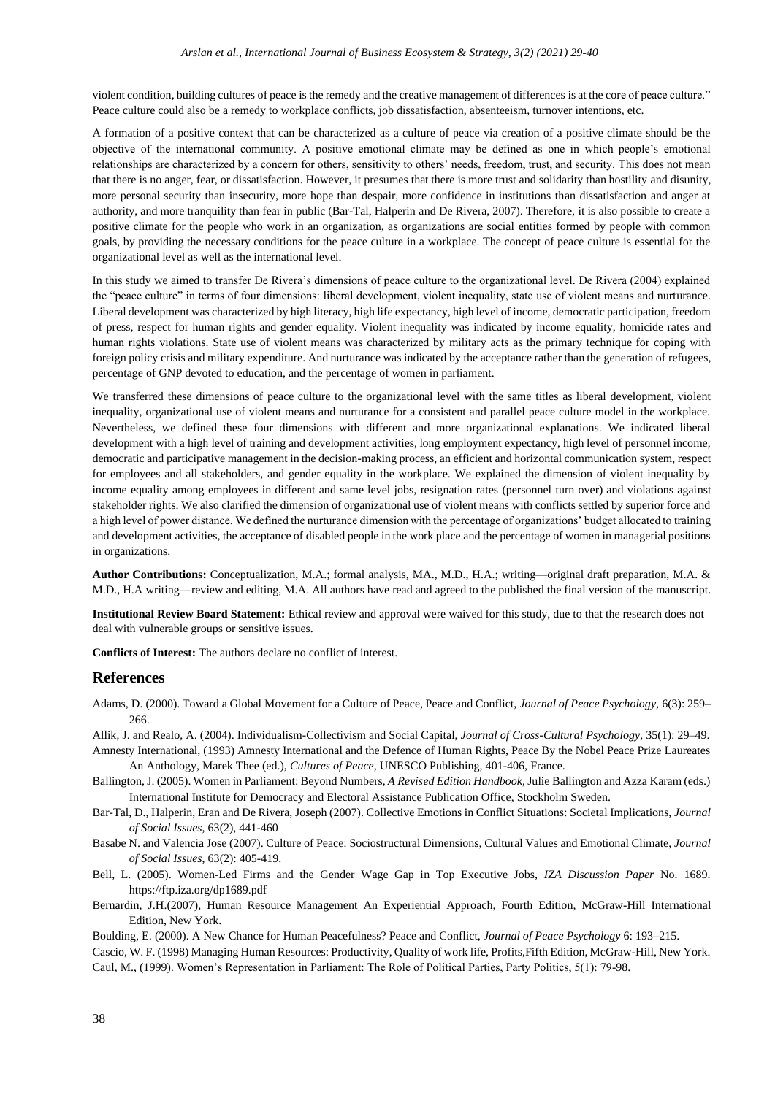violent condition, building cultures of peace is the remedy and the creative management of differences is at the core of peace culture." Peace culture could also be a remedy to workplace conflicts, job dissatisfaction, absenteeism, turnover intentions, etc.

A formation of a positive context that can be characterized as a culture of peace via creation of a positive climate should be the objective of the international community. A positive emotional climate may be defined as one in which people's emotional relationships are characterized by a concern for others, sensitivity to others' needs, freedom, trust, and security. This does not mean that there is no anger, fear, or dissatisfaction. However, it presumes that there is more trust and solidarity than hostility and disunity, more personal security than insecurity, more hope than despair, more confidence in institutions than dissatisfaction and anger at authority, and more tranquility than fear in public (Bar-Tal, Halperin and De Rivera, 2007). Therefore, it is also possible to create a positive climate for the people who work in an organization, as organizations are social entities formed by people with common goals, by providing the necessary conditions for the peace culture in a workplace. The concept of peace culture is essential for the organizational level as well as the international level.

In this study we aimed to transfer De Rivera's dimensions of peace culture to the organizational level. De Rivera (2004) explained the "peace culture" in terms of four dimensions: liberal development, violent inequality, state use of violent means and nurturance. Liberal development was characterized by high literacy, high life expectancy, high level of income, democratic participation, freedom of press, respect for human rights and gender equality. Violent inequality was indicated by income equality, homicide rates and human rights violations. State use of violent means was characterized by military acts as the primary technique for coping with foreign policy crisis and military expenditure. And nurturance was indicated by the acceptance rather than the generation of refugees, percentage of GNP devoted to education, and the percentage of women in parliament.

We transferred these dimensions of peace culture to the organizational level with the same titles as liberal development, violent inequality, organizational use of violent means and nurturance for a consistent and parallel peace culture model in the workplace. Nevertheless, we defined these four dimensions with different and more organizational explanations. We indicated liberal development with a high level of training and development activities, long employment expectancy, high level of personnel income, democratic and participative management in the decision-making process, an efficient and horizontal communication system, respect for employees and all stakeholders, and gender equality in the workplace. We explained the dimension of violent inequality by income equality among employees in different and same level jobs, resignation rates (personnel turn over) and violations against stakeholder rights. We also clarified the dimension of organizational use of violent means with conflicts settled by superior force and a high level of power distance. We defined the nurturance dimension with the percentage of organizations' budget allocated to training and development activities, the acceptance of disabled people in the work place and the percentage of women in managerial positions in organizations.

**Author Contributions:** Conceptualization, M.A.; formal analysis, MA., M.D., H.A.; writing—original draft preparation, M.A. & M.D., H.A writing—review and editing, M.A. All authors have read and agreed to the published the final version of the manuscript.

**Institutional Review Board Statement:** Ethical review and approval were waived for this study, due to that the research does not deal with vulnerable groups or sensitive issues.

**Conflicts of Interest:** The authors declare no conflict of interest.

#### **References**

Adams, D. (2000). Toward a Global Movement for a Culture of Peace, Peace and Conflict, *Journal of Peace Psychology,* 6(3): 259– 266.

Allik, J. and Realo, A. (2004). Individualism-Collectivism and Social Capital, *Journal of Cross-Cultural Psychology,* 35(1): 29–49.

Amnesty International, (1993) Amnesty International and the Defence of Human Rights, Peace By the Nobel Peace Prize Laureates An Anthology, Marek Thee (ed.), *Cultures of Peace*, UNESCO Publishing, 401-406, France.

- Ballington, J. (2005). Women in Parliament: Beyond Numbers, *A Revised Edition Handbook*, Julie Ballington and Azza Karam (eds.) International Institute for Democracy and Electoral Assistance Publication Office, Stockholm Sweden.
- Bar-Tal, D., Halperin, Eran and De Rivera, Joseph (2007). Collective Emotions in Conflict Situations: Societal Implications, *Journal of Social Issues*, 63(2), 441-460
- Basabe N. and Valencia Jose (2007). Culture of Peace: Sociostructural Dimensions, Cultural Values and Emotional Climate, *Journal of Social Issues*, 63(2): 405-419.
- Bell, L. (2005). Women-Led Firms and the Gender Wage Gap in Top Executive Jobs, *IZA Discussion Paper* No. 1689. <https://ftp.iza.org/dp1689.pdf>
- Bernardin, J.H.(2007), Human Resource Management An Experiential Approach, Fourth Edition, McGraw-Hill International Edition, New York.
- Boulding, E. (2000). A New Chance for Human Peacefulness? Peace and Conflict, *Journal of Peace Psychology* 6: 193–215.
- Cascio, W. F. (1998) Managing Human Resources: Productivity, Quality of work life, Profits,Fifth Edition, McGraw-Hill, New York. Caul, M., (1999). Women's Representation in Parliament: The Role of Political Parties, Party Politics, 5(1): 79-98.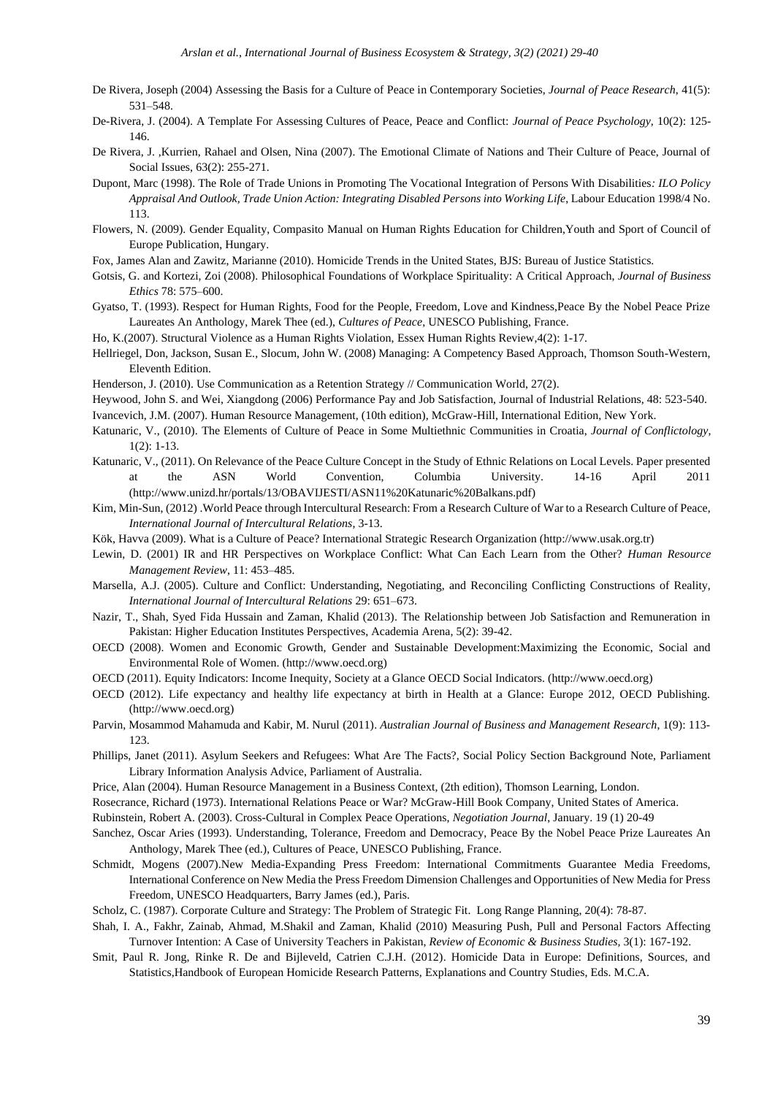- De Rivera, Joseph (2004) Assessing the Basis for a Culture of Peace in Contemporary Societies, *Journal of Peace Research*, 41(5): 531–548.
- De-Rivera, J. (2004). A Template For Assessing Cultures of Peace, Peace and Conflict: *Journal of Peace Psychology,* 10(2): 125- 146.
- De Rivera, J. ,Kurrien, Rahael and Olsen, Nina (2007). The Emotional Climate of Nations and Their Culture of Peace, Journal of Social Issues, 63(2): 255-271.
- Dupont, Marc (1998). The Role of Trade Unions in Promoting The Vocational Integration of Persons With Disabilities*: ILO Policy Appraisal And Outlook, Trade Union Action: Integrating Disabled Persons into Working Life*, Labour Education 1998/4 No. 113.
- Flowers, N. (2009). Gender Equality, Compasito Manual on Human Rights Education for Children,Youth and Sport of Council of Europe Publication, Hungary.
- Fox, James Alan and Zawitz, Marianne (2010). Homicide Trends in the United States, BJS: Bureau of Justice Statistics.
- Gotsis, G. and Kortezi, Zoi (2008). Philosophical Foundations of Workplace Spirituality: A Critical Approach, *Journal of Business Ethics* 78: 575–600.
- Gyatso, T. (1993). Respect for Human Rights, Food for the People, Freedom, Love and Kindness,Peace By the Nobel Peace Prize Laureates An Anthology, Marek Thee (ed.), *Cultures of Peace*, UNESCO Publishing, France.
- Ho, K.(2007). Structural Violence as a Human Rights Violation, Essex Human Rights Review,4(2): 1-17.
- Hellriegel, Don, Jackson, Susan E., Slocum, John W. (2008) Managing: A Competency Based Approach, Thomson South-Western, Eleventh Edition.
- Henderson, J. (2010). Use Communication as a Retention Strategy // Communication World, 27(2).
- Heywood, John S. and Wei, Xiangdong (2006) Performance Pay and Job Satisfaction, Journal of Industrial Relations, 48: 523-540. Ivancevich, J.M. (2007). Human Resource Management, (10th edition), McGraw-Hill, International Edition, New York.
- Katunaric, V., (2010). The Elements of Culture of Peace in Some Multiethnic Communities in Croatia, *Journal of Conflictology*,
- 1(2): 1-13.
- Katunaric, V., (2011). On Relevance of the Peace Culture Concept in the Study of Ethnic Relations on Local Levels. Paper presented at the ASN World Convention, Columbia University. 14-16 April 2011 (http://www.unizd.hr/portals/13/OBAVIJESTI/ASN11%20Katunaric%20Balkans.pdf)
- Kim, Min-Sun, (2012) .World Peace through Intercultural Research: From a Research Culture of War to a Research Culture of Peace, *International Journal of Intercultural Relations*, 3-13.
- Kök, Havva (2009). What is a Culture of Peace? International Strategic Research Organization (http://www.usak.org.tr)
- Lewin, D. (2001) IR and HR Perspectives on Workplace Conflict: What Can Each Learn from the Other? *Human Resource Management Review*, 11: 453–485.
- Marsella, A.J. (2005). Culture and Conflict: Understanding, Negotiating, and Reconciling Conflicting Constructions of Reality, *International Journal of Intercultural Relations* 29: 651–673.
- Nazir, T., Shah, Syed Fida Hussain and Zaman, Khalid (2013). The Relationship between Job Satisfaction and Remuneration in Pakistan: Higher Education Institutes Perspectives, Academia Arena, 5(2): 39-42.
- OECD (2008). Women and Economic Growth, Gender and Sustainable Development:Maximizing the Economic, Social and Environmental Role of Women. (http://www.oecd.org)
- OECD (2011). Equity Indicators: Income Inequity, Society at a Glance OECD Social Indicators. (http://www.oecd.org)
- OECD (2012). Life expectancy and healthy life expectancy at birth in Health at a Glance: Europe 2012, OECD Publishing. (http://www.oecd.org)
- Parvin, Mosammod Mahamuda and Kabir, M. Nurul (2011). *Australian Journal of Business and Management Research*, 1(9): 113- 123.
- Phillips, Janet (2011). Asylum Seekers and Refugees: What Are The Facts?, Social Policy Section Background Note, Parliament Library Information Analysis Advice, Parliament of Australia.
- Price, Alan (2004). Human Resource Management in a Business Context, (2th edition), Thomson Learning, London.
- Rosecrance, Richard (1973). International Relations Peace or War? McGraw-Hill Book Company, United States of America.
- Rubinstein, Robert A. (2003). Cross-Cultural in Complex Peace Operations, *Negotiation Journal*, January. 19 (1) 20-49
- Sanchez, Oscar Aries (1993). Understanding, Tolerance, Freedom and Democracy, Peace By the Nobel Peace Prize Laureates An Anthology, Marek Thee (ed.), Cultures of Peace, UNESCO Publishing, France.
- Schmidt, Mogens (2007).New Media-Expanding Press Freedom: International Commitments Guarantee Media Freedoms, International Conference on New Media the Press Freedom Dimension Challenges and Opportunities of New Media for Press Freedom, UNESCO Headquarters, Barry James (ed.), Paris.
- Scholz, C. (1987). Corporate Culture and Strategy: The Problem of Strategic Fit. Long Range Planning, 20(4): 78-87.
- Shah, I. A., Fakhr, Zainab, Ahmad, M.Shakil and Zaman, Khalid (2010) Measuring Push, Pull and Personal Factors Affecting Turnover Intention: A Case of University Teachers in Pakistan, *Review of Economic & Business Studies,* 3(1): 167-192.
- Smit, Paul R. Jong, Rinke R. De and Bijleveld, Catrien C.J.H. (2012). Homicide Data in Europe: Definitions, Sources, and Statistics,Handbook of European Homicide Research Patterns, Explanations and Country Studies, Eds. M.C.A.